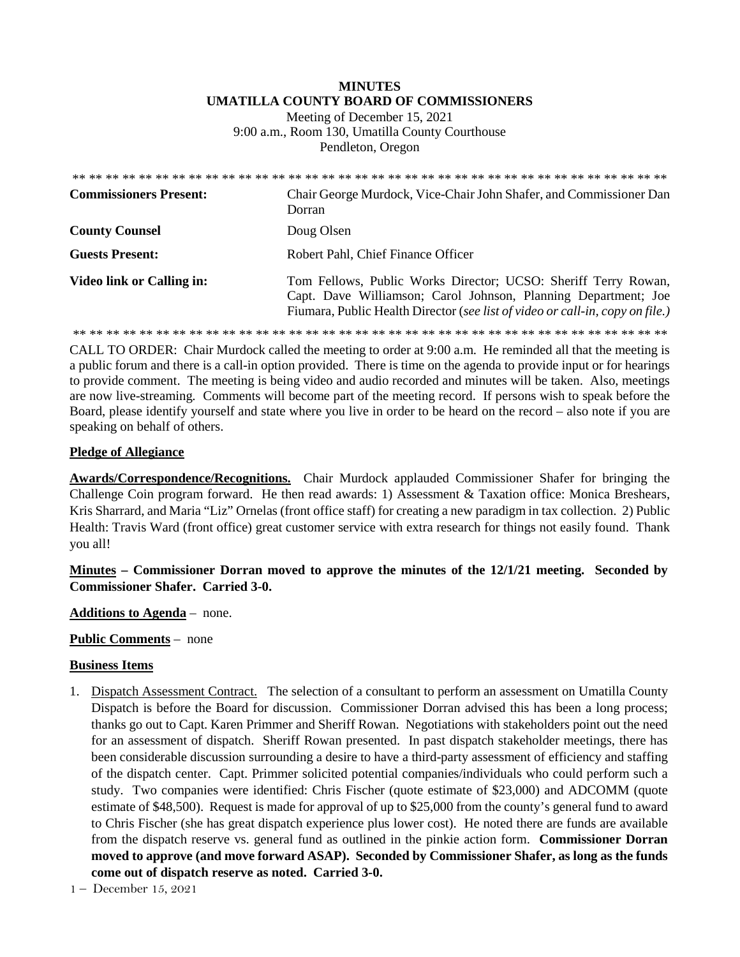# **MINUTES UMATILLA COUNTY BOARD OF COMMISSIONERS**

Meeting of December 15, 2021 9:00 a.m., Room 130, Umatilla County Courthouse Pendleton, Oregon

| <b>Commissioners Present:</b> | Chair George Murdock, Vice-Chair John Shafer, and Commissioner Dan<br>Dorran                                                                                                                                      |
|-------------------------------|-------------------------------------------------------------------------------------------------------------------------------------------------------------------------------------------------------------------|
| <b>County Counsel</b>         | Doug Olsen                                                                                                                                                                                                        |
| <b>Guests Present:</b>        | Robert Pahl, Chief Finance Officer                                                                                                                                                                                |
| Video link or Calling in:     | Tom Fellows, Public Works Director; UCSO: Sheriff Terry Rowan,<br>Capt. Dave Williamson; Carol Johnson, Planning Department; Joe<br>Fiumara, Public Health Director (see list of video or call-in, copy on file.) |
|                               |                                                                                                                                                                                                                   |

CALL TO ORDER: Chair Murdock called the meeting to order at 9:00 a.m. He reminded all that the meeting is a public forum and there is a call-in option provided. There is time on the agenda to provide input or for hearings to provide comment. The meeting is being video and audio recorded and minutes will be taken. Also, meetings are now live-streaming*.* Comments will become part of the meeting record. If persons wish to speak before the Board, please identify yourself and state where you live in order to be heard on the record – also note if you are speaking on behalf of others.

### **Pledge of Allegiance**

**Awards/Correspondence/Recognitions.** Chair Murdock applauded Commissioner Shafer for bringing the Challenge Coin program forward. He then read awards: 1) Assessment & Taxation office: Monica Breshears, Kris Sharrard, and Maria "Liz" Ornelas (front office staff) for creating a new paradigm in tax collection. 2) Public Health: Travis Ward (front office) great customer service with extra research for things not easily found. Thank you all!

# **Minutes – Commissioner Dorran moved to approve the minutes of the 12/1/21 meeting. Seconded by Commissioner Shafer. Carried 3-0.**

**Additions to Agenda** – none.

**Public Comments** – none

#### **Business Items**

- 1. Dispatch Assessment Contract. The selection of a consultant to perform an assessment on Umatilla County Dispatch is before the Board for discussion. Commissioner Dorran advised this has been a long process; thanks go out to Capt. Karen Primmer and Sheriff Rowan. Negotiations with stakeholders point out the need for an assessment of dispatch. Sheriff Rowan presented. In past dispatch stakeholder meetings, there has been considerable discussion surrounding a desire to have a third-party assessment of efficiency and staffing of the dispatch center. Capt. Primmer solicited potential companies/individuals who could perform such a study. Two companies were identified: Chris Fischer (quote estimate of \$23,000) and ADCOMM (quote estimate of \$48,500). Request is made for approval of up to \$25,000 from the county's general fund to award to Chris Fischer (she has great dispatch experience plus lower cost). He noted there are funds are available from the dispatch reserve vs. general fund as outlined in the pinkie action form. **Commissioner Dorran moved to approve (and move forward ASAP). Seconded by Commissioner Shafer, as long as the funds come out of dispatch reserve as noted. Carried 3-0.**
- 1 December 15, 2021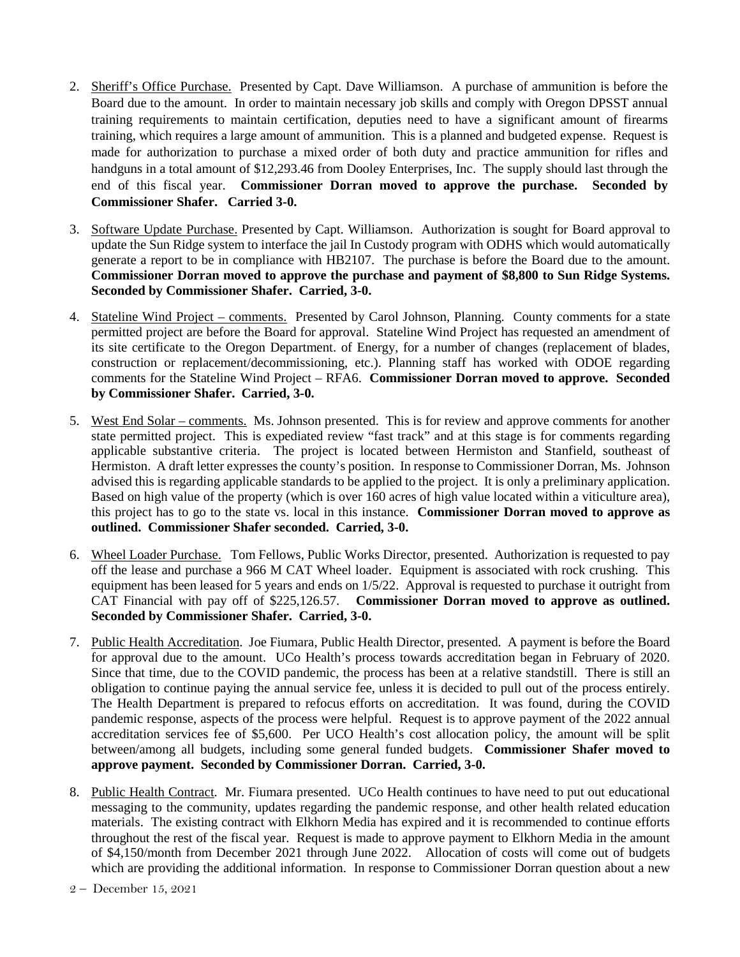- 2. Sheriff's Office Purchase. Presented by Capt. Dave Williamson. A purchase of ammunition is before the Board due to the amount. In order to maintain necessary job skills and comply with Oregon DPSST annual training requirements to maintain certification, deputies need to have a significant amount of firearms training, which requires a large amount of ammunition. This is a planned and budgeted expense. Request is made for authorization to purchase a mixed order of both duty and practice ammunition for rifles and handguns in a total amount of \$12,293.46 from Dooley Enterprises, Inc. The supply should last through the end of this fiscal year. **Commissioner Dorran moved to approve the purchase. Seconded by Commissioner Shafer. Carried 3-0.**
- 3. Software Update Purchase. Presented by Capt. Williamson. Authorization is sought for Board approval to update the Sun Ridge system to interface the jail In Custody program with ODHS which would automatically generate a report to be in compliance with HB2107. The purchase is before the Board due to the amount. **Commissioner Dorran moved to approve the purchase and payment of \$8,800 to Sun Ridge Systems. Seconded by Commissioner Shafer. Carried, 3-0.**
- 4. Stateline Wind Project comments. Presented by Carol Johnson, Planning. County comments for a state permitted project are before the Board for approval. Stateline Wind Project has requested an amendment of its site certificate to the Oregon Department. of Energy, for a number of changes (replacement of blades, construction or replacement/decommissioning, etc.). Planning staff has worked with ODOE regarding comments for the Stateline Wind Project – RFA6. **Commissioner Dorran moved to approve. Seconded by Commissioner Shafer. Carried, 3-0.**
- 5. West End Solar comments. Ms. Johnson presented. This is for review and approve comments for another state permitted project. This is expediated review "fast track" and at this stage is for comments regarding applicable substantive criteria. The project is located between Hermiston and Stanfield, southeast of Hermiston. A draft letter expresses the county's position. In response to Commissioner Dorran, Ms. Johnson advised this is regarding applicable standards to be applied to the project. It is only a preliminary application. Based on high value of the property (which is over 160 acres of high value located within a viticulture area), this project has to go to the state vs. local in this instance. **Commissioner Dorran moved to approve as outlined. Commissioner Shafer seconded. Carried, 3-0.**
- 6. Wheel Loader Purchase. Tom Fellows, Public Works Director, presented. Authorization is requested to pay off the lease and purchase a 966 M CAT Wheel loader. Equipment is associated with rock crushing. This equipment has been leased for 5 years and ends on 1/5/22. Approval is requested to purchase it outright from CAT Financial with pay off of \$225,126.57. **Commissioner Dorran moved to approve as outlined. Seconded by Commissioner Shafer. Carried, 3-0.**
- 7. Public Health Accreditation. Joe Fiumara, Public Health Director, presented. A payment is before the Board for approval due to the amount. UCo Health's process towards accreditation began in February of 2020. Since that time, due to the COVID pandemic, the process has been at a relative standstill. There is still an obligation to continue paying the annual service fee, unless it is decided to pull out of the process entirely. The Health Department is prepared to refocus efforts on accreditation. It was found, during the COVID pandemic response, aspects of the process were helpful. Request is to approve payment of the 2022 annual accreditation services fee of \$5,600. Per UCO Health's cost allocation policy, the amount will be split between/among all budgets, including some general funded budgets. **Commissioner Shafer moved to approve payment. Seconded by Commissioner Dorran. Carried, 3-0.**
- 8. Public Health Contract. Mr. Fiumara presented. UCo Health continues to have need to put out educational messaging to the community, updates regarding the pandemic response, and other health related education materials. The existing contract with Elkhorn Media has expired and it is recommended to continue efforts throughout the rest of the fiscal year. Request is made to approve payment to Elkhorn Media in the amount of \$4,150/month from December 2021 through June 2022. Allocation of costs will come out of budgets which are providing the additional information. In response to Commissioner Dorran question about a new

<sup>2 –</sup> December 15, 2021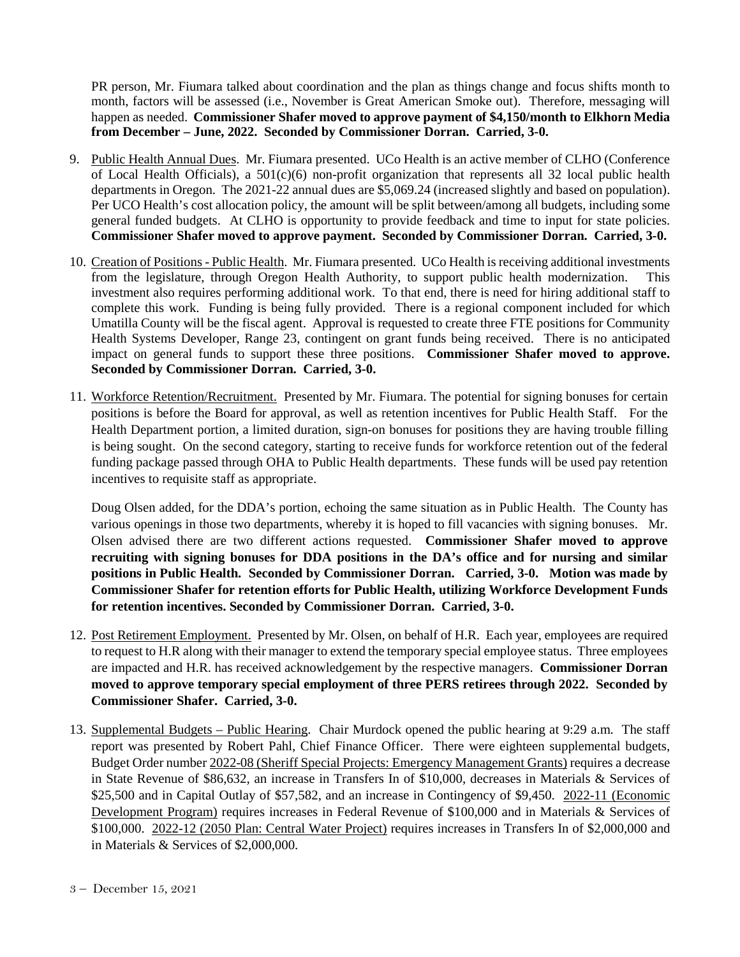PR person, Mr. Fiumara talked about coordination and the plan as things change and focus shifts month to month, factors will be assessed (i.e., November is Great American Smoke out). Therefore, messaging will happen as needed. **Commissioner Shafer moved to approve payment of \$4,150/month to Elkhorn Media from December – June, 2022. Seconded by Commissioner Dorran. Carried, 3-0.**

- 9. Public Health Annual Dues. Mr. Fiumara presented. UCo Health is an active member of CLHO (Conference of Local Health Officials), a  $501(c)(6)$  non-profit organization that represents all 32 local public health departments in Oregon. The 2021-22 annual dues are \$5,069.24 (increased slightly and based on population). Per UCO Health's cost allocation policy, the amount will be split between/among all budgets, including some general funded budgets. At CLHO is opportunity to provide feedback and time to input for state policies. **Commissioner Shafer moved to approve payment. Seconded by Commissioner Dorran. Carried, 3-0.**
- 10. Creation of Positions Public Health. Mr. Fiumara presented. UCo Health is receiving additional investments from the legislature, through Oregon Health Authority, to support public health modernization. This investment also requires performing additional work. To that end, there is need for hiring additional staff to complete this work. Funding is being fully provided. There is a regional component included for which Umatilla County will be the fiscal agent. Approval is requested to create three FTE positions for Community Health Systems Developer, Range 23, contingent on grant funds being received. There is no anticipated impact on general funds to support these three positions. **Commissioner Shafer moved to approve. Seconded by Commissioner Dorran. Carried, 3-0.**
- 11. Workforce Retention/Recruitment. Presented by Mr. Fiumara. The potential for signing bonuses for certain positions is before the Board for approval, as well as retention incentives for Public Health Staff. For the Health Department portion, a limited duration, sign-on bonuses for positions they are having trouble filling is being sought. On the second category, starting to receive funds for workforce retention out of the federal funding package passed through OHA to Public Health departments. These funds will be used pay retention incentives to requisite staff as appropriate.

Doug Olsen added, for the DDA's portion, echoing the same situation as in Public Health. The County has various openings in those two departments, whereby it is hoped to fill vacancies with signing bonuses. Mr. Olsen advised there are two different actions requested. **Commissioner Shafer moved to approve recruiting with signing bonuses for DDA positions in the DA's office and for nursing and similar positions in Public Health. Seconded by Commissioner Dorran. Carried, 3-0. Motion was made by Commissioner Shafer for retention efforts for Public Health, utilizing Workforce Development Funds for retention incentives. Seconded by Commissioner Dorran. Carried, 3-0.** 

- 12. Post Retirement Employment. Presented by Mr. Olsen, on behalf of H.R. Each year, employees are required to request to H.R along with their manager to extend the temporary special employee status. Three employees are impacted and H.R. has received acknowledgement by the respective managers. **Commissioner Dorran moved to approve temporary special employment of three PERS retirees through 2022. Seconded by Commissioner Shafer. Carried, 3-0.**
- 13. Supplemental Budgets Public Hearing. Chair Murdock opened the public hearing at 9:29 a.m. The staff report was presented by Robert Pahl, Chief Finance Officer. There were eighteen supplemental budgets, Budget Order number 2022-08 (Sheriff Special Projects: Emergency Management Grants) requires a decrease in State Revenue of \$86,632, an increase in Transfers In of \$10,000, decreases in Materials & Services of \$25,500 and in Capital Outlay of \$57,582, and an increase in Contingency of \$9,450. 2022-11 (Economic Development Program) requires increases in Federal Revenue of \$100,000 and in Materials & Services of \$100,000. 2022-12 (2050 Plan: Central Water Project) requires increases in Transfers In of \$2,000,000 and in Materials & Services of \$2,000,000.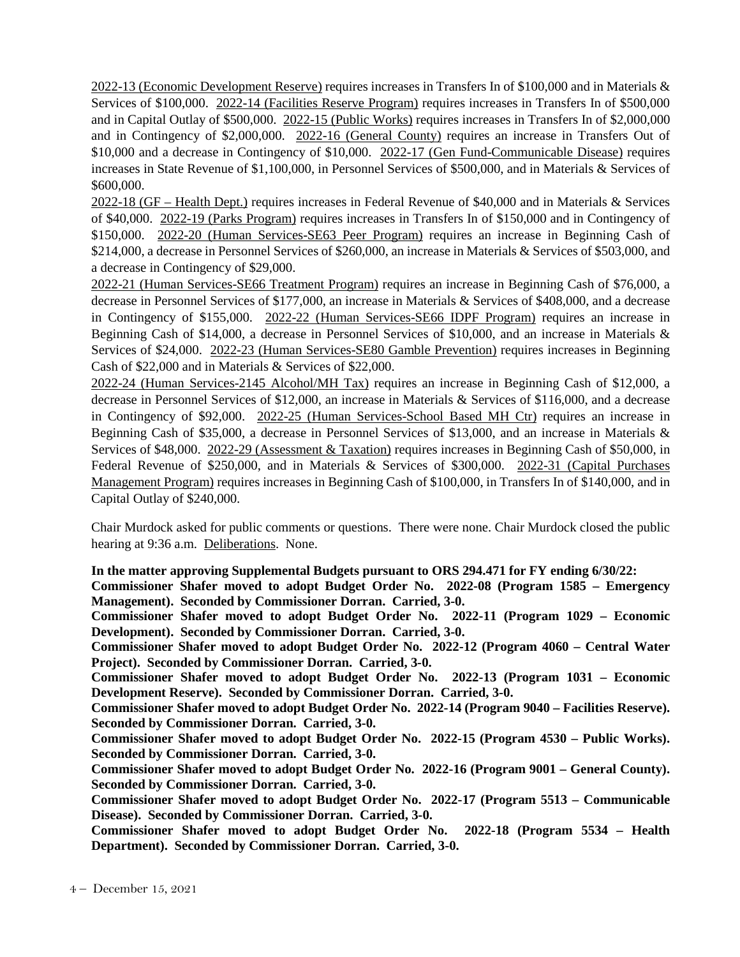2022-13 (Economic Development Reserve) requires increases in Transfers In of \$100,000 and in Materials & Services of \$100,000. 2022-14 (Facilities Reserve Program) requires increases in Transfers In of \$500,000 and in Capital Outlay of \$500,000. 2022-15 (Public Works) requires increases in Transfers In of \$2,000,000 and in Contingency of \$2,000,000. 2022-16 (General County) requires an increase in Transfers Out of \$10,000 and a decrease in Contingency of \$10,000. 2022-17 (Gen Fund-Communicable Disease) requires increases in State Revenue of \$1,100,000, in Personnel Services of \$500,000, and in Materials & Services of \$600,000.

2022-18 (GF – Health Dept.) requires increases in Federal Revenue of \$40,000 and in Materials & Services of \$40,000. 2022-19 (Parks Program) requires increases in Transfers In of \$150,000 and in Contingency of \$150,000. 2022-20 (Human Services-SE63 Peer Program) requires an increase in Beginning Cash of \$214,000, a decrease in Personnel Services of \$260,000, an increase in Materials & Services of \$503,000, and a decrease in Contingency of \$29,000.

2022-21 (Human Services-SE66 Treatment Program) requires an increase in Beginning Cash of \$76,000, a decrease in Personnel Services of \$177,000, an increase in Materials & Services of \$408,000, and a decrease in Contingency of \$155,000. 2022-22 (Human Services-SE66 IDPF Program) requires an increase in Beginning Cash of \$14,000, a decrease in Personnel Services of \$10,000, and an increase in Materials & Services of \$24,000. 2022-23 (Human Services-SE80 Gamble Prevention) requires increases in Beginning Cash of \$22,000 and in Materials & Services of \$22,000.

2022-24 (Human Services-2145 Alcohol/MH Tax) requires an increase in Beginning Cash of \$12,000, a decrease in Personnel Services of \$12,000, an increase in Materials & Services of \$116,000, and a decrease in Contingency of \$92,000. 2022-25 (Human Services-School Based MH Ctr) requires an increase in Beginning Cash of \$35,000, a decrease in Personnel Services of \$13,000, and an increase in Materials & Services of \$48,000. 2022-29 (Assessment & Taxation) requires increases in Beginning Cash of \$50,000, in Federal Revenue of \$250,000, and in Materials & Services of \$300,000. 2022-31 (Capital Purchases Management Program) requires increases in Beginning Cash of \$100,000, in Transfers In of \$140,000, and in Capital Outlay of \$240,000.

Chair Murdock asked for public comments or questions. There were none. Chair Murdock closed the public hearing at 9:36 a.m. Deliberations. None.

**In the matter approving Supplemental Budgets pursuant to ORS 294.471 for FY ending 6/30/22:** 

**Commissioner Shafer moved to adopt Budget Order No. 2022-08 (Program 1585 – Emergency Management). Seconded by Commissioner Dorran. Carried, 3-0.** 

**Commissioner Shafer moved to adopt Budget Order No. 2022-11 (Program 1029 – Economic Development). Seconded by Commissioner Dorran. Carried, 3-0.** 

**Commissioner Shafer moved to adopt Budget Order No. 2022-12 (Program 4060 – Central Water Project). Seconded by Commissioner Dorran. Carried, 3-0.** 

**Commissioner Shafer moved to adopt Budget Order No. 2022-13 (Program 1031 – Economic Development Reserve). Seconded by Commissioner Dorran. Carried, 3-0.** 

**Commissioner Shafer moved to adopt Budget Order No. 2022-14 (Program 9040 – Facilities Reserve). Seconded by Commissioner Dorran. Carried, 3-0.** 

**Commissioner Shafer moved to adopt Budget Order No. 2022-15 (Program 4530 – Public Works). Seconded by Commissioner Dorran. Carried, 3-0.** 

**Commissioner Shafer moved to adopt Budget Order No. 2022-16 (Program 9001 – General County). Seconded by Commissioner Dorran. Carried, 3-0.** 

**Commissioner Shafer moved to adopt Budget Order No. 2022-17 (Program 5513 – Communicable Disease). Seconded by Commissioner Dorran. Carried, 3-0.** 

**Commissioner Shafer moved to adopt Budget Order No. 2022-18 (Program 5534 – Health Department). Seconded by Commissioner Dorran. Carried, 3-0.**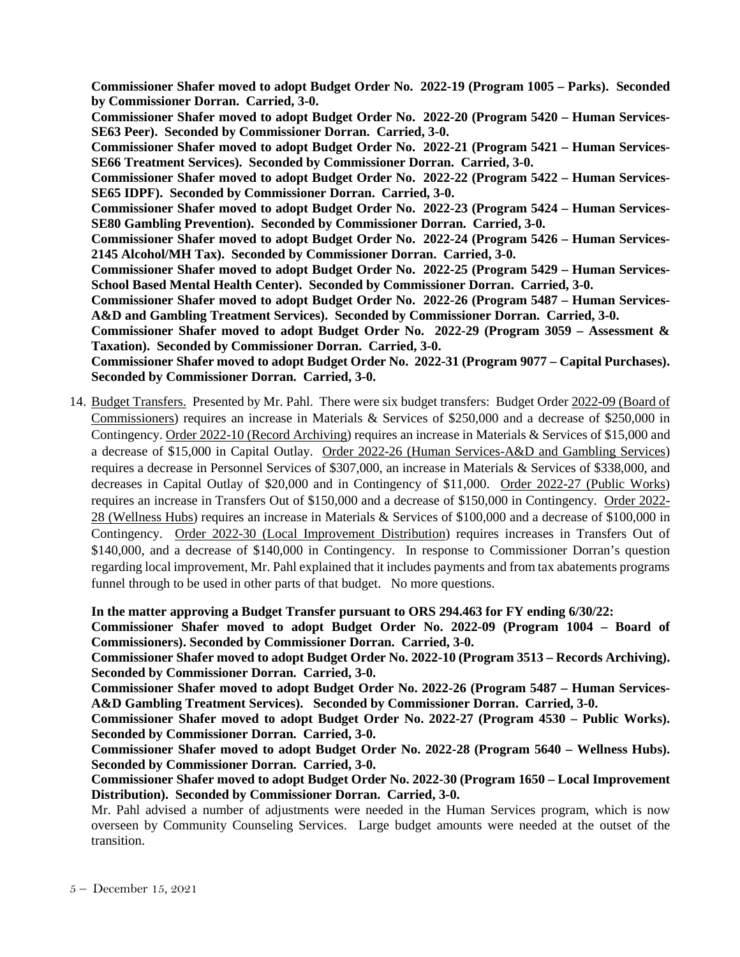**Commissioner Shafer moved to adopt Budget Order No. 2022-19 (Program 1005 – Parks). Seconded by Commissioner Dorran. Carried, 3-0.** 

**Commissioner Shafer moved to adopt Budget Order No. 2022-20 (Program 5420 – Human Services-SE63 Peer). Seconded by Commissioner Dorran. Carried, 3-0.** 

**Commissioner Shafer moved to adopt Budget Order No. 2022-21 (Program 5421 – Human Services-SE66 Treatment Services). Seconded by Commissioner Dorran. Carried, 3-0.** 

**Commissioner Shafer moved to adopt Budget Order No. 2022-22 (Program 5422 – Human Services-SE65 IDPF). Seconded by Commissioner Dorran. Carried, 3-0.** 

**Commissioner Shafer moved to adopt Budget Order No. 2022-23 (Program 5424 – Human Services-SE80 Gambling Prevention). Seconded by Commissioner Dorran. Carried, 3-0.** 

**Commissioner Shafer moved to adopt Budget Order No. 2022-24 (Program 5426 – Human Services-2145 Alcohol/MH Tax). Seconded by Commissioner Dorran. Carried, 3-0.** 

**Commissioner Shafer moved to adopt Budget Order No. 2022-25 (Program 5429 – Human Services-School Based Mental Health Center). Seconded by Commissioner Dorran. Carried, 3-0.** 

**Commissioner Shafer moved to adopt Budget Order No. 2022-26 (Program 5487 – Human Services-A&D and Gambling Treatment Services). Seconded by Commissioner Dorran. Carried, 3-0.** 

**Commissioner Shafer moved to adopt Budget Order No. 2022-29 (Program 3059 – Assessment & Taxation). Seconded by Commissioner Dorran. Carried, 3-0.** 

**Commissioner Shafer moved to adopt Budget Order No. 2022-31 (Program 9077 – Capital Purchases). Seconded by Commissioner Dorran. Carried, 3-0.** 

14. Budget Transfers. Presented by Mr. Pahl. There were six budget transfers: Budget Order 2022-09 (Board of Commissioners) requires an increase in Materials & Services of \$250,000 and a decrease of \$250,000 in Contingency. Order 2022-10 (Record Archiving) requires an increase in Materials & Services of \$15,000 and a decrease of \$15,000 in Capital Outlay. Order 2022-26 (Human Services-A&D and Gambling Services) requires a decrease in Personnel Services of \$307,000, an increase in Materials & Services of \$338,000, and decreases in Capital Outlay of \$20,000 and in Contingency of \$11,000. Order 2022-27 (Public Works) requires an increase in Transfers Out of \$150,000 and a decrease of \$150,000 in Contingency. Order 2022- 28 (Wellness Hubs) requires an increase in Materials & Services of \$100,000 and a decrease of \$100,000 in Contingency. Order 2022-30 (Local Improvement Distribution) requires increases in Transfers Out of \$140,000, and a decrease of \$140,000 in Contingency. In response to Commissioner Dorran's question regarding local improvement, Mr. Pahl explained that it includes payments and from tax abatements programs funnel through to be used in other parts of that budget. No more questions.

**In the matter approving a Budget Transfer pursuant to ORS 294.463 for FY ending 6/30/22:** 

**Commissioner Shafer moved to adopt Budget Order No. 2022-09 (Program 1004 – Board of Commissioners). Seconded by Commissioner Dorran. Carried, 3-0.**

**Commissioner Shafer moved to adopt Budget Order No. 2022-10 (Program 3513 – Records Archiving). Seconded by Commissioner Dorran. Carried, 3-0.**

**Commissioner Shafer moved to adopt Budget Order No. 2022-26 (Program 5487 – Human Services-A&D Gambling Treatment Services). Seconded by Commissioner Dorran. Carried, 3-0.**

**Commissioner Shafer moved to adopt Budget Order No. 2022-27 (Program 4530 – Public Works). Seconded by Commissioner Dorran. Carried, 3-0.**

**Commissioner Shafer moved to adopt Budget Order No. 2022-28 (Program 5640 – Wellness Hubs). Seconded by Commissioner Dorran. Carried, 3-0.**

**Commissioner Shafer moved to adopt Budget Order No. 2022-30 (Program 1650 – Local Improvement Distribution). Seconded by Commissioner Dorran. Carried, 3-0.**

Mr. Pahl advised a number of adjustments were needed in the Human Services program, which is now overseen by Community Counseling Services. Large budget amounts were needed at the outset of the transition.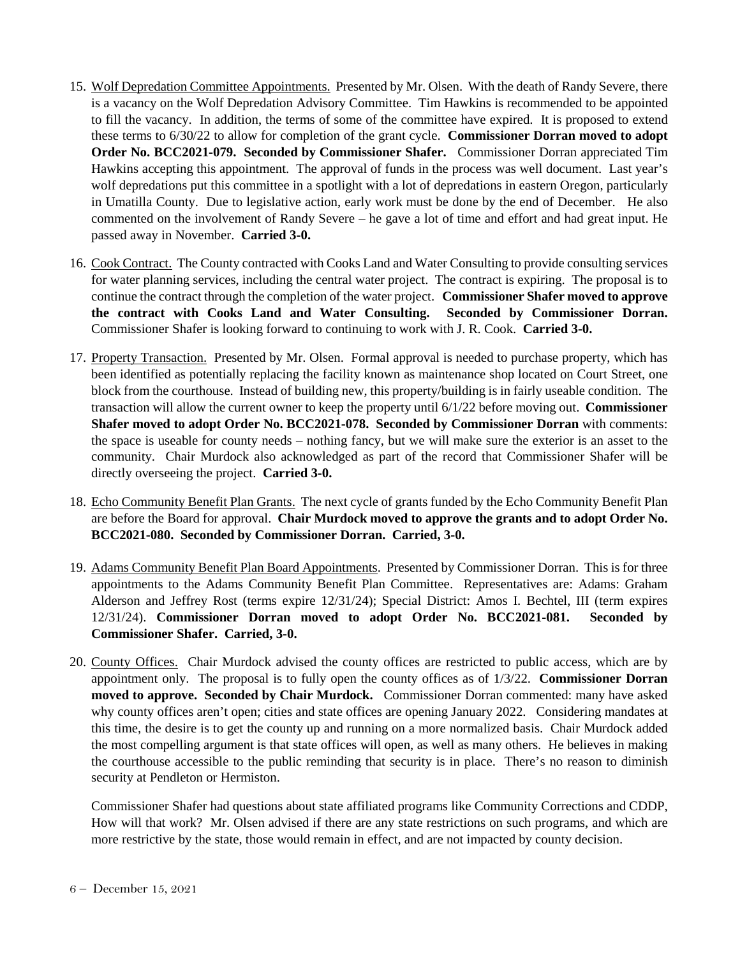- 15. Wolf Depredation Committee Appointments. Presented by Mr. Olsen. With the death of Randy Severe, there is a vacancy on the Wolf Depredation Advisory Committee. Tim Hawkins is recommended to be appointed to fill the vacancy. In addition, the terms of some of the committee have expired. It is proposed to extend these terms to 6/30/22 to allow for completion of the grant cycle. **Commissioner Dorran moved to adopt Order No. BCC2021-079. Seconded by Commissioner Shafer.** Commissioner Dorran appreciated Tim Hawkins accepting this appointment. The approval of funds in the process was well document. Last year's wolf depredations put this committee in a spotlight with a lot of depredations in eastern Oregon, particularly in Umatilla County. Due to legislative action, early work must be done by the end of December. He also commented on the involvement of Randy Severe – he gave a lot of time and effort and had great input. He passed away in November. **Carried 3-0.**
- 16. Cook Contract. The County contracted with Cooks Land and Water Consulting to provide consulting services for water planning services, including the central water project. The contract is expiring. The proposal is to continue the contract through the completion of the water project. **Commissioner Shafer moved to approve the contract with Cooks Land and Water Consulting. Seconded by Commissioner Dorran.**  Commissioner Shafer is looking forward to continuing to work with J. R. Cook. **Carried 3-0.**
- 17. Property Transaction. Presented by Mr. Olsen. Formal approval is needed to purchase property, which has been identified as potentially replacing the facility known as maintenance shop located on Court Street, one block from the courthouse. Instead of building new, this property/building is in fairly useable condition. The transaction will allow the current owner to keep the property until 6/1/22 before moving out. **Commissioner Shafer moved to adopt Order No. BCC2021-078. Seconded by Commissioner Dorran** with comments: the space is useable for county needs – nothing fancy, but we will make sure the exterior is an asset to the community. Chair Murdock also acknowledged as part of the record that Commissioner Shafer will be directly overseeing the project. **Carried 3-0.**
- 18. Echo Community Benefit Plan Grants. The next cycle of grants funded by the Echo Community Benefit Plan are before the Board for approval. **Chair Murdock moved to approve the grants and to adopt Order No. BCC2021-080. Seconded by Commissioner Dorran. Carried, 3-0.**
- 19. Adams Community Benefit Plan Board Appointments. Presented by Commissioner Dorran. This is for three appointments to the Adams Community Benefit Plan Committee. Representatives are: Adams: Graham Alderson and Jeffrey Rost (terms expire 12/31/24); Special District: Amos I. Bechtel, III (term expires 12/31/24). **Commissioner Dorran moved to adopt Order No. BCC2021-081. Seconded by Commissioner Shafer. Carried, 3-0.**
- 20. County Offices. Chair Murdock advised the county offices are restricted to public access, which are by appointment only. The proposal is to fully open the county offices as of 1/3/22. **Commissioner Dorran moved to approve. Seconded by Chair Murdock.** Commissioner Dorran commented: many have asked why county offices aren't open; cities and state offices are opening January 2022. Considering mandates at this time, the desire is to get the county up and running on a more normalized basis. Chair Murdock added the most compelling argument is that state offices will open, as well as many others. He believes in making the courthouse accessible to the public reminding that security is in place. There's no reason to diminish security at Pendleton or Hermiston.

Commissioner Shafer had questions about state affiliated programs like Community Corrections and CDDP, How will that work? Mr. Olsen advised if there are any state restrictions on such programs, and which are more restrictive by the state, those would remain in effect, and are not impacted by county decision.